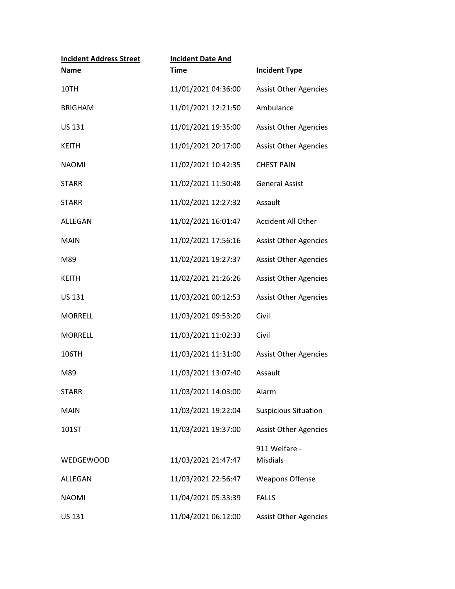| <b>Incident Address Street</b><br><b>Name</b> | <b>Incident Date And</b><br><b>Time</b> | <b>Incident Type</b>             |
|-----------------------------------------------|-----------------------------------------|----------------------------------|
| 10TH                                          | 11/01/2021 04:36:00                     | <b>Assist Other Agencies</b>     |
| <b>BRIGHAM</b>                                | 11/01/2021 12:21:50                     | Ambulance                        |
| <b>US 131</b>                                 | 11/01/2021 19:35:00                     | <b>Assist Other Agencies</b>     |
| <b>KEITH</b>                                  | 11/01/2021 20:17:00                     | <b>Assist Other Agencies</b>     |
| <b>NAOMI</b>                                  | 11/02/2021 10:42:35                     | <b>CHEST PAIN</b>                |
| <b>STARR</b>                                  | 11/02/2021 11:50:48                     | <b>General Assist</b>            |
| <b>STARR</b>                                  | 11/02/2021 12:27:32                     | Assault                          |
| ALLEGAN                                       | 11/02/2021 16:01:47                     | <b>Accident All Other</b>        |
| <b>MAIN</b>                                   | 11/02/2021 17:56:16                     | <b>Assist Other Agencies</b>     |
| M89                                           | 11/02/2021 19:27:37                     | <b>Assist Other Agencies</b>     |
| <b>KEITH</b>                                  | 11/02/2021 21:26:26                     | <b>Assist Other Agencies</b>     |
| <b>US 131</b>                                 | 11/03/2021 00:12:53                     | <b>Assist Other Agencies</b>     |
| <b>MORRELL</b>                                | 11/03/2021 09:53:20                     | Civil                            |
| <b>MORRELL</b>                                | 11/03/2021 11:02:33                     | Civil                            |
| 106TH                                         | 11/03/2021 11:31:00                     | <b>Assist Other Agencies</b>     |
| M89                                           | 11/03/2021 13:07:40                     | Assault                          |
| <b>STARR</b>                                  | 11/03/2021 14:03:00                     | Alarm                            |
| <b>MAIN</b>                                   | 11/03/2021 19:22:04                     | <b>Suspicious Situation</b>      |
| 101ST                                         | 11/03/2021 19:37:00                     | <b>Assist Other Agencies</b>     |
| <b>WEDGEWOOD</b>                              | 11/03/2021 21:47:47                     | 911 Welfare -<br><b>Misdials</b> |
| ALLEGAN                                       | 11/03/2021 22:56:47                     | <b>Weapons Offense</b>           |
| <b>NAOMI</b>                                  | 11/04/2021 05:33:39                     | <b>FALLS</b>                     |
| US 131                                        | 11/04/2021 06:12:00                     | <b>Assist Other Agencies</b>     |